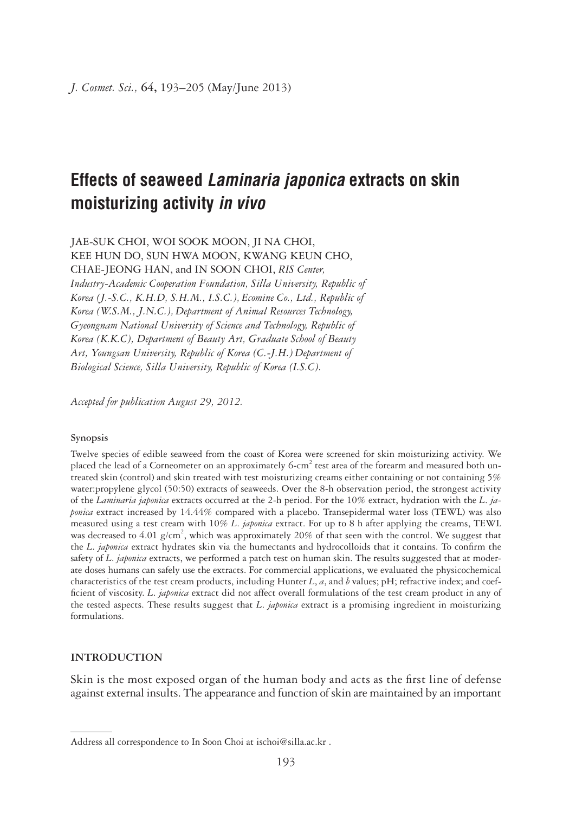# **Effects of seaweed Laminaria japonica extracts on skin moisturizing activity in vivo**

JAE-SUK CHOI, WOI SOOK MOON, JI NA CHOI,

KEE HUN DO, SUN HWA MOON, KWANG KEUN CHO,

CHAE-JEONG HAN, and IN SOON CHOI, *RIS Center,* 

*Industry-Academic Cooperation Foundation, Silla University, Republic of Korea (J.-S.C., K.H.D, S.H.M., I.S.C.), Ecomine Co., Ltd., Republic of Korea (W.S.M., J.N.C.), Department of Animal Resources Technology, Gyeongnam National University of Science and Technology, Republic of Korea (K.K.C), Department of Beauty Art, Graduate School of Beauty Art, Youngsan University, Republic of Korea (C.-J.H.) Department of Biological Science, Silla University, Republic of Korea (I.S.C).*

*Accepted for publication August 29, 2012.*

#### **Synopsis**

Twelve species of edible seaweed from the coast of Korea were screened for skin moisturizing activity. We placed the lead of a Corneometer on an approximately 6-cm<sup>2</sup> test area of the forearm and measured both untreated skin (control) and skin treated with test moisturizing creams either containing or not containing 5% water:propylene glycol (50:50) extracts of seaweeds. Over the 8-h observation period, the strongest activity of the *Laminaria japonica* extracts occurred at the 2-h period. For the 10% extract, hydration with the *L*. *japonica* extract increased by 14.44% compared with a placebo. Transepidermal water loss (TEWL) was also measured using a test cream with 10% *L*. *japonica* extract. For up to 8 h after applying the creams, TEWL was decreased to 4.01 g/cm<sup>2</sup>, which was approximately 20% of that seen with the control. We suggest that the *L. japonica* extract hydrates skin via the humectants and hydrocolloids that it contains. To confirm the safety of *L*. *japonica* extracts, we performed a patch test on human skin. The results suggested that at moderate doses humans can safely use the extracts. For commercial applications, we evaluated the physicochemical characteristics of the test cream products, including Hunter *L*, *a*, and *b* values; pH; refractive index; and coefficient of viscosity. *L. japonica* extract did not affect overall formulations of the test cream product in any of the tested aspects. These results suggest that *L*. *japonica* extract is a promising ingredient in moisturizing formulations.

## **INTRODUCTION**

Skin is the most exposed organ of the human body and acts as the first line of defense against external insults. The appearance and function of skin are maintained by an important

Address all correspondence to In Soon Choi at ischoi@silla.ac.kr .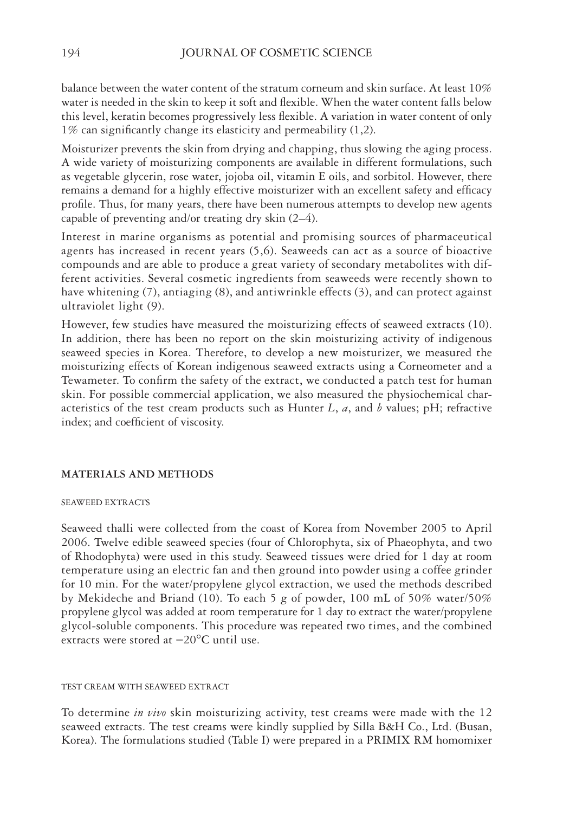balance between the water content of the stratum corneum and skin surface. At least 10% water is needed in the skin to keep it soft and flexible. When the water content falls below this level, keratin becomes progressively less flexible. A variation in water content of only 1% can significantly change its elasticity and permeability  $(1,2)$ .

Moisturizer prevents the skin from drying and chapping, thus slowing the aging process. A wide variety of moisturizing components are available in different formulations, such as vegetable glycerin, rose water, jojoba oil, vitamin E oils, and sorbitol. However, there remains a demand for a highly effective moisturizer with an excellent safety and efficacy profile. Thus, for many years, there have been numerous attempts to develop new agents capable of preventing and/or treating dry skin (2–4).

Interest in marine organisms as potential and promising sources of pharmaceutical agents has increased in recent years (5,6). Seaweeds can act as a source of bioactive compounds and are able to produce a great variety of secondary metabolites with different activities. Several cosmetic ingredients from seaweeds were recently shown to have whitening (7), antiaging (8), and antiwrinkle effects (3), and can protect against ultraviolet light (9).

However, few studies have measured the moisturizing effects of seaweed extracts (10). In addition, there has been no report on the skin moisturizing activity of indigenous seaweed species in Korea. Therefore, to develop a new moisturizer, we measured the moisturizing effects of Korean indigenous seaweed extracts using a Corneometer and a Tewameter. To confirm the safety of the extract, we conducted a patch test for human skin. For possible commercial application, we also measured the physiochemical characteristics of the test cream products such as Hunter *L*, *a*, and *b* values; pH; refractive index; and coefficient of viscosity.

## **MATERIALS AND METHODS**

## SEAWEED EXTRACTS

Seaweed thalli were collected from the coast of Korea from November 2005 to April 2006. Twelve edible seaweed species (four of Chlorophyta, six of Phaeophyta, and two of Rhodophyta) were used in this study. Seaweed tissues were dried for 1 day at room temperature using an electric fan and then ground into powder using a coffee grinder for 10 min. For the water/propylene glycol extraction, we used the methods described by Mekideche and Briand (10). To each 5 g of powder, 100 mL of 50% water/50% propylene glycol was added at room temperature for 1 day to extract the water/propylene glycol-soluble components. This procedure was repeated two times, and the combined extracts were stored at −20°C until use.

## TEST CREAM WITH SEAWEED EXTRACT

To determine *in vivo* skin moisturizing activity, test creams were made with the 12 seaweed extracts. The test creams were kindly supplied by Silla B&H Co., Ltd. (Busan, Korea). The formulations studied (Table I) were prepared in a PRIMIX RM homomixer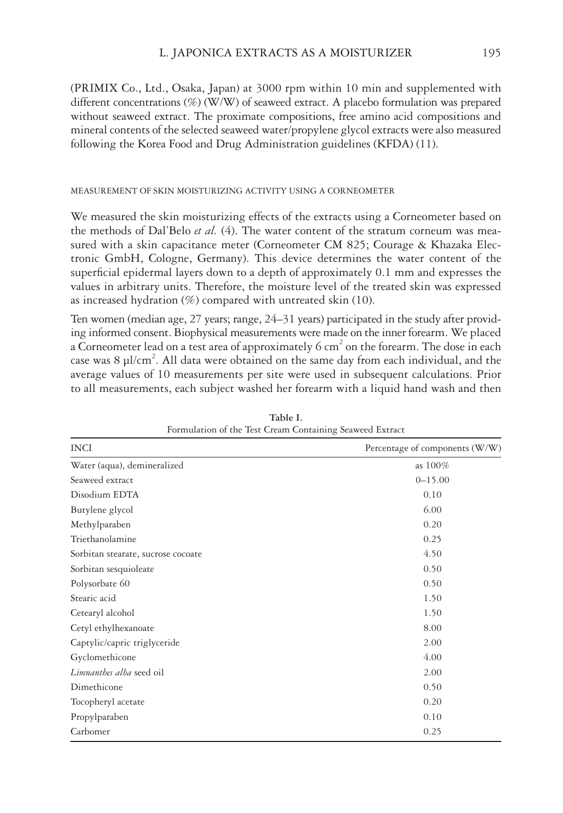(PRIMIX Co., Ltd., Osaka, Japan) at 3000 rpm within 10 min and supplemented with different concentrations (%) (W/W) of seaweed extract. A placebo formulation was prepared without seaweed extract. The proximate compositions, free amino acid compositions and mineral contents of the selected seaweed water/propylene glycol extracts were also measured following the Korea Food and Drug Administration guidelines (KFDA) (11).

#### MEASUREMENT OF SKIN MOISTURIZING ACTIVITY USING A CORNEOMETER

We measured the skin moisturizing effects of the extracts using a Corneometer based on the methods of Dal'Belo *et al.* (4). The water content of the stratum corneum was measured with a skin capacitance meter (Corneometer CM 825; Courage & Khazaka Electronic GmbH, Cologne, Germany). This device determines the water content of the superficial epidermal layers down to a depth of approximately 0.1 mm and expresses the values in arbitrary units. Therefore, the moisture level of the treated skin was expressed as increased hydration (%) compared with untreated skin (10).

Ten women (median age, 27 years; range, 24–31 years) participated in the study after providing informed consent. Biophysical measurements were made on the inner forearm. We placed a Corneometer lead on a test area of approximately 6 cm<sup>2</sup> on the forearm. The dose in each case was 8  $\mu$ l/cm<sup>2</sup>. All data were obtained on the same day from each individual, and the average values of 10 measurements per site were used in subsequent calculations. Prior to all measurements, each subject washed her forearm with a liquid hand wash and then

| <b>INCI</b>                        | Percentage of components (W/W) |  |
|------------------------------------|--------------------------------|--|
| Water (aqua), demineralized        | as 100%                        |  |
| Seaweed extract                    | $0 - 15.00$                    |  |
| Disodium EDTA                      | 0.10                           |  |
| Butylene glycol                    | 6.00                           |  |
| Methylparaben                      | 0.20                           |  |
| Triethanolamine                    | 0.25                           |  |
| Sorbitan stearate, sucrose cocoate | 4.50                           |  |
| Sorbitan sesquioleate              | 0.50                           |  |
| Polysorbate 60                     | 0.50                           |  |
| Stearic acid                       | 1.50                           |  |
| Cetearyl alcohol                   | 1.50                           |  |
| Cetyl ethylhexanoate               | 8.00                           |  |
| Captylic/capric triglyceride       | 2.00                           |  |
| Gyclomethicone                     | 4.00                           |  |
| Limnanthes alba seed oil           | 2.00                           |  |
| Dimethicone                        | 0.50                           |  |
| Tocopheryl acetate                 | 0.20                           |  |
| Propylparaben                      | 0.10                           |  |
| Carbomer                           | 0.25                           |  |

**Table I.** Formulation of the Test Cream Containing Seaweed Extract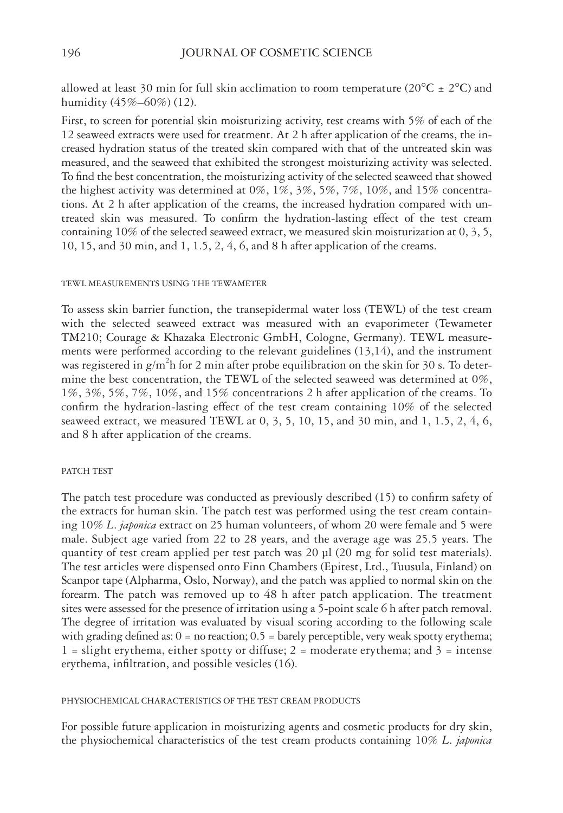allowed at least 30 min for full skin acclimation to room temperature (20 $^{\circ}$ C  $\pm$  2 $^{\circ}$ C) and humidity (45%–60%) (12).

First, to screen for potential skin moisturizing activity, test creams with 5% of each of the 12 seaweed extracts were used for treatment. At 2 h after application of the creams, the increased hydration status of the treated skin compared with that of the untreated skin was measured, and the seaweed that exhibited the strongest moisturizing activity was selected. To find the best concentration, the moisturizing activity of the selected seaweed that showed the highest activity was determined at  $0\%, 1\%, 3\%, 5\%, 7\%, 10\%,$  and  $15\%$  concentrations. At 2 h after application of the creams, the increased hydration compared with untreated skin was measured. To confirm the hydration-lasting effect of the test cream containing 10% of the selected seaweed extract, we measured skin moisturization at 0, 3, 5, 10, 15, and 30 min, and 1, 1.5, 2, 4, 6, and 8 h after application of the creams.

#### TEWL MEASUREMENTS USING THE TEWAMETER

To assess skin barrier function, the transepidermal water loss (TEWL) of the test cream with the selected seaweed extract was measured with an evaporimeter (Tewameter TM210; Courage & Khazaka Electronic GmbH, Cologne, Germany). TEWL measurements were performed according to the relevant guidelines (13,14), and the instrument was registered in  $g/m^2$ h for 2 min after probe equilibration on the skin for 30 s. To determine the best concentration, the TEWL of the selected seaweed was determined at 0%, 1%, 3%, 5%, 7%, 10%, and 15% concentrations 2 h after application of the creams. To confirm the hydration-lasting effect of the test cream containing  $10\%$  of the selected seaweed extract, we measured TEWL at 0, 3, 5, 10, 15, and 30 min, and 1, 1.5, 2, 4, 6, and 8 h after application of the creams.

#### PATCH TEST

The patch test procedure was conducted as previously described  $(15)$  to confirm safety of the extracts for human skin. The patch test was performed using the test cream containing 10% *L*. *japonica* extract on 25 human volunteers, of whom 20 were female and 5 were male. Subject age varied from 22 to 28 years, and the average age was 25.5 years. The quantity of test cream applied per test patch was 20 µl (20 mg for solid test materials). The test articles were dispensed onto Finn Chambers (Epitest, Ltd., Tuusula, Finland) on Scanpor tape (Alpharma, Oslo, Norway), and the patch was applied to normal skin on the forearm. The patch was removed up to 48 h after patch application. The treatment sites were assessed for the presence of irritation using a 5-point scale 6 h after patch removal. The degree of irritation was evaluated by visual scoring according to the following scale with grading defined as:  $0 =$  no reaction;  $0.5 =$  barely perceptible, very weak spotty erythema;  $1 =$  slight erythema, either spotty or diffuse;  $2 =$  moderate erythema; and  $3 =$  intense erythema, infiltration, and possible vesicles (16).

#### PHYSIOCHEMICAL CHARACTERISTICS OF THE TEST CREAM PRODUCTS

For possible future application in moisturizing agents and cosmetic products for dry skin, the physiochemical characteristics of the test cream products containing 10% *L*. *japonica*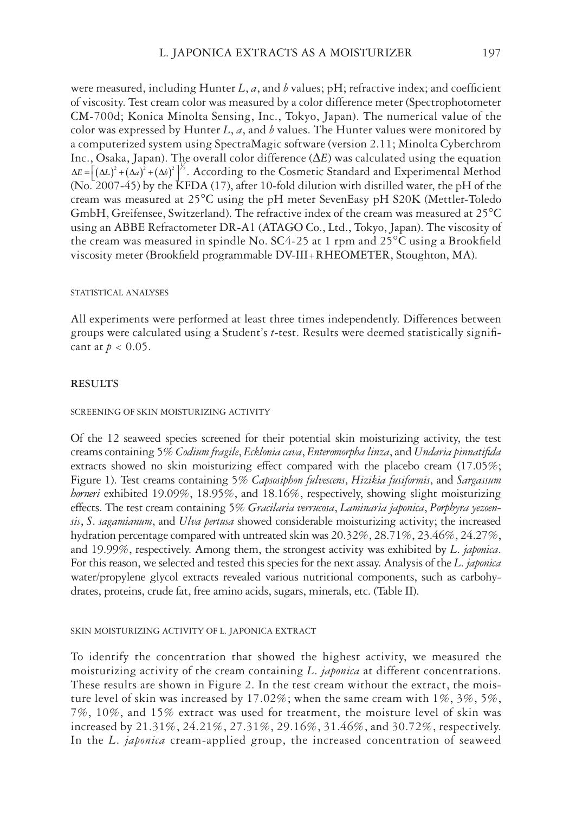were measured, including Hunter  $L$ ,  $a$ , and  $b$  values; pH; refractive index; and coefficient of viscosity. Test cream color was measured by a color difference meter (Spectrophotometer CM-700d; Konica Minolta Sensing, Inc., Tokyo, Japan). The numerical value of the color was expressed by Hunter *L*, *a*, and *b* values. The Hunter values were monitored by a computerized system using SpectraMagic software (version 2.11; Minolta Cyberchrom Inc., Osaka, Japan). The overall color difference (Δ*E*) was calculated using the equation  $\Delta E = [(\Delta L)^2 + (\Delta a)^2 + (\Delta b)^2]^{\frac{1}{2}}$ . According to the Cosmetic Standard and Experimental Method (No. 2007-45) by the KFDA (17), after 10-fold dilution with distilled water, the pH of the cream was measured at 25°C using the pH meter SevenEasy pH S20K (Mettler-Toledo GmbH, Greifensee, Switzerland). The refractive index of the cream was measured at 25°C using an ABBE Refractometer DR-A1 (ATAGO Co., Ltd., Tokyo, Japan). The viscosity of the cream was measured in spindle No.  $SC4-25$  at 1 rpm and  $25^{\circ}C$  using a Brookfield viscosity meter (Brookfield programmable DV-III+RHEOMETER, Stoughton, MA).

#### STATISTICAL ANALYSES

All experiments were performed at least three times independently. Differences between groups were calculated using a Student's *t*-test. Results were deemed statistically significant at *p* < 0.05.

### **RESULTS**

#### SCREENING OF SKIN MOISTURIZING ACTIVITY

Of the 12 seaweed species screened for their potential skin moisturizing activity, the test creams containing 5% *Codium fragile*, *Ecklonia cava*, *Enteromorpha linza*, and *Undaria pinnatifi da* extracts showed no skin moisturizing effect compared with the placebo cream (17.05%; Figure 1). Test creams containing 5% *Capsosiphon fulvescens*, *Hizikia fusiformis*, and *Sargassum horneri* exhibited 19.09%, 18.95%, and 18.16%, respectively, showing slight moisturizing effects. The test cream containing 5% *Gracilaria verrucosa*, *Laminaria japonica*, *Porphyra yezoensis*, *S*. *sagamianum*, and *Ulva pertusa* showed considerable moisturizing activity; the increased hydration percentage compared with untreated skin was 20.32%, 28.71%, 23.46%, 24.27%, and 19.99%, respectively. Among them, the strongest activity was exhibited by *L*. *japonica*. For this reason, we selected and tested this species for the next assay. Analysis of the *L*. *japonica*  water/propylene glycol extracts revealed various nutritional components, such as carbohydrates, proteins, crude fat, free amino acids, sugars, minerals, etc. (Table II).

#### SKIN MOISTURIZING ACTIVITY OF L. JAPONICA EXTRACT

To identify the concentration that showed the highest activity, we measured the moisturizing activity of the cream containing *L*. *japonica* at different concentrations. These results are shown in Figure 2. In the test cream without the extract, the moisture level of skin was increased by 17.02%; when the same cream with 1%, 3%, 5%, 7%, 10%, and 15% extract was used for treatment, the moisture level of skin was increased by 21.31%, 24.21%, 27.31%, 29.16%, 31.46%, and 30.72%, respectively. In the *L*. *japonica* cream-applied group, the increased concentration of seaweed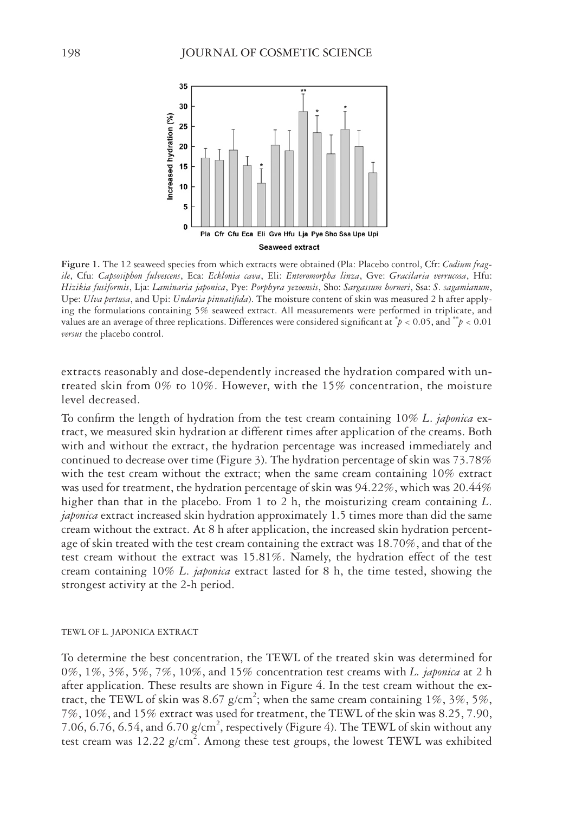

**Figure 1.** The 12 seaweed species from which extracts were obtained (Pla: Placebo control, Cfr: *Codium fragile*, Cfu: *Capsosiphon fulvescens*, Eca: *Ecklonia cava*, Eli: *Enteromorpha linza*, Gve: *Gracilaria verrucosa*, Hfu: *Hizikia fusiformis*, Lja: *Laminaria japonica*, Pye: *Porphyra yezoensis*, Sho: *Sargassum horneri*, Ssa: *S*. *sagamianum*, Upe: *Ulva pertusa*, and Upi: *Undaria pinnatifida*). The moisture content of skin was measured 2 h after applying the formulations containing 5% seaweed extract. All measurements were performed in triplicate, and values are an average of three replications. Differences were considered significant at  $^*p$  < 0.05, and  $^{**}p$  < 0.01 *versus* the placebo control.

extracts reasonably and dose-dependently increased the hydration compared with untreated skin from 0% to 10%. However, with the 15% concentration, the moisture level decreased.

To confirm the length of hydration from the test cream containing 10% *L. japonica* extract, we measured skin hydration at different times after application of the creams. Both with and without the extract, the hydration percentage was increased immediately and continued to decrease over time (Figure 3). The hydration percentage of skin was 73.78% with the test cream without the extract; when the same cream containing 10% extract was used for treatment, the hydration percentage of skin was 94.22%, which was 20.44% higher than that in the placebo. From 1 to 2 h, the moisturizing cream containing *L*. *japonica* extract increased skin hydration approximately 1.5 times more than did the same cream without the extract. At 8 h after application, the increased skin hydration percentage of skin treated with the test cream containing the extract was 18.70%, and that of the test cream without the extract was 15.81%. Namely, the hydration effect of the test cream containing 10% *L*. *japonica* extract lasted for 8 h, the time tested, showing the strongest activity at the 2-h period.

#### TEWL OF L. JAPONICA EXTRACT

To determine the best concentration, the TEWL of the treated skin was determined for 0%, 1%, 3%, 5%, 7%, 10%, and 15% concentration test creams with *L. japonica* at 2 h after application. These results are shown in Figure 4. In the test cream without the extract, the TEWL of skin was 8.67 g/cm<sup>2</sup>; when the same cream containing  $1\%, 3\%, 5\%,$ 7%, 10%, and 15% extract was used for treatment, the TEWL of the skin was 8.25, 7.90, 7.06, 6.76, 6.54, and 6.70  $g/cm<sup>2</sup>$ , respectively (Figure 4). The TEWL of skin without any test cream was  $12.22$  g/cm<sup>2</sup>. Among these test groups, the lowest TEWL was exhibited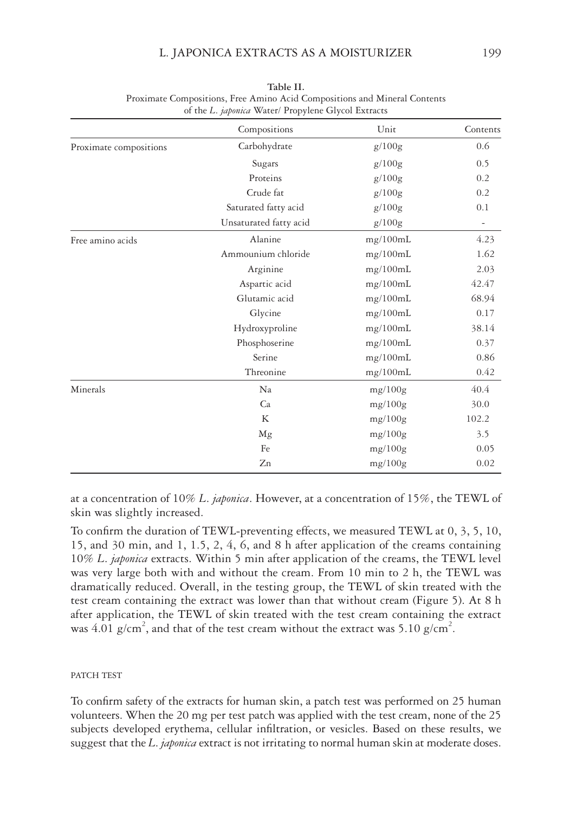## L. JAPONICA EXTRACTS AS A MOISTURIZER 199

|                        | Compositions           | Unit     | Contents                 |
|------------------------|------------------------|----------|--------------------------|
| Proximate compositions | Carbohydrate           | g/100g   | 0.6                      |
|                        | Sugars                 | g/100g   | 0.5                      |
|                        | Proteins               | g/100g   | 0.2                      |
|                        | Crude fat              | g/100g   | 0.2                      |
|                        | Saturated fatty acid   | g/100g   | 0.1                      |
|                        | Unsaturated fatty acid | g/100g   | $\overline{\phantom{0}}$ |
| Free amino acids       | Alanine                | mg/100mL | 4.23                     |
|                        | Ammounium chloride     | mg/100mL | 1.62                     |
|                        | Arginine               | mg/100mL | 2.03                     |
|                        | Aspartic acid          | mg/100mL | 42.47                    |
|                        | Glutamic acid          | mg/100mL | 68.94                    |
|                        | Glycine                | mg/100mL | 0.17                     |
|                        | Hydroxyproline         | mg/100mL | 38.14                    |
|                        | Phosphoserine          | mg/100mL | 0.37                     |
|                        | Serine                 | mg/100mL | 0.86                     |
|                        | Threonine              | mg/100mL | 0.42                     |
| Minerals               | Na                     | mg/100g  | 40.4                     |
|                        | Ca                     | mg/100g  | 30.0                     |
|                        | K                      | mg/100g  | 102.2                    |
|                        | Mg                     | mg/100g  | 3.5                      |
|                        | Fe                     | mg/100g  | 0.05                     |
|                        | Zn                     | mg/100g  | 0.02                     |

**Table II.** Proximate Compositions, Free Amino Acid Compositions and Mineral Contents of the *L*. *japonica* Water/ Propylene Glycol Extracts

at a concentration of 10% *L*. *japonica*. However, at a concentration of 15%, the TEWL of skin was slightly increased.

To confirm the duration of TEWL-preventing effects, we measured TEWL at  $0, 3, 5, 10$ , 15, and 30 min, and 1, 1.5, 2, 4, 6, and 8 h after application of the creams containing 10% *L*. *japonica* extracts. Within 5 min after application of the creams, the TEWL level was very large both with and without the cream. From 10 min to 2 h, the TEWL was dramatically reduced. Overall, in the testing group, the TEWL of skin treated with the test cream containing the extract was lower than that without cream (Figure 5). At 8 h after application, the TEWL of skin treated with the test cream containing the extract was  $4.01$  g/cm<sup>2</sup>, and that of the test cream without the extract was 5.10 g/cm<sup>2</sup>.

## PATCH TEST

To confirm safety of the extracts for human skin, a patch test was performed on 25 human volunteers. When the 20 mg per test patch was applied with the test cream, none of the 25 subjects developed erythema, cellular infiltration, or vesicles. Based on these results, we suggest that the *L*. *japonica* extract is not irritating to normal human skin at moderate doses.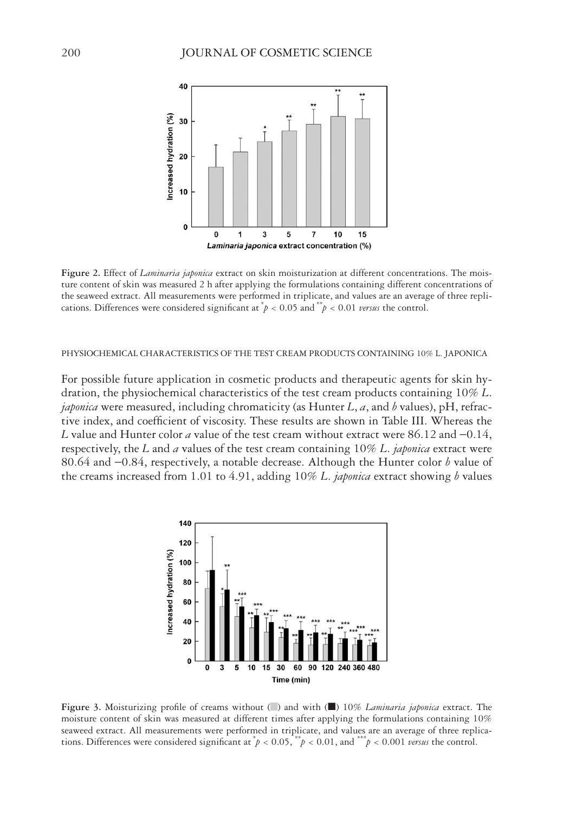

**Figure 2.** Effect of *Laminaria japonica* extract on skin moisturization at different concentrations. The moisture content of skin was measured 2 h after applying the formulations containing different concentrations of the seaweed extract. All measurements were performed in triplicate, and values are an average of three replications. Differences were considered significant at  $p < 0.05$  and  $p * p < 0.01$  versus the control.

PHYSIOCHEMICAL CHARACTERISTICS OF THE TEST CREAM PRODUCTS CONTAINING 10% L. JAPONICA

For possible future application in cosmetic products and therapeutic agents for skin hydration, the physiochemical characteristics of the test cream products containing 10% *L*. *japonica* were measured, including chromaticity (as Hunter *L*, *a*, and *b* values), pH, refractive index, and coefficient of viscosity. These results are shown in Table III. Whereas the *L* value and Hunter color *a* value of the test cream without extract were 86.12 and −0.14, respectively, the *L* and *a* values of the test cream containing 10% *L*. *japonica* extract were 80.64 and −0.84, respectively, a notable decrease. Although the Hunter color *b* value of the creams increased from 1.01 to 4.91, adding 10% *L*. *japonica* extract showing *b* values



Figure 3. Moisturizing profile of creams without (a) and with ( $\Box$ ) 10% *Laminaria japonica* extract. The moisture content of skin was measured at different times after applying the formulations containing 10% seaweed extract. All measurements were performed in triplicate, and values are an average of three replications. Differences were considered significant at  $p < 0.05$ ,  $p < 0.01$ , and  $p < 0.001$  *versus* the control.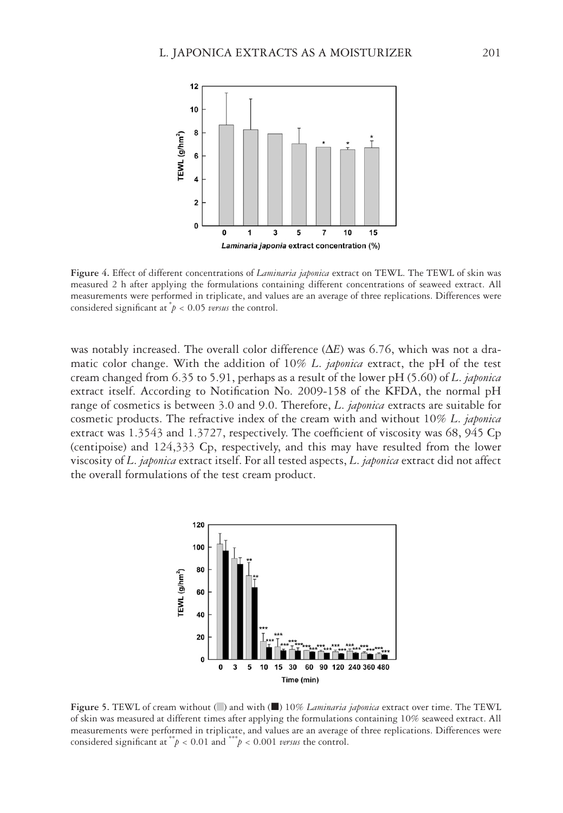

**Figure 4.** Effect of different concentrations of *Laminaria japonica* extract on TEWL. The TEWL of skin was measured 2 h after applying the formulations containing different concentrations of seaweed extract. All measurements were performed in triplicate, and values are an average of three replications. Differences were considered significant at  $p < 0.05$  versus the control.

was notably increased. The overall color difference (Δ*E*) was 6.76, which was not a dramatic color change. With the addition of 10% *L*. *japonica* extract, the pH of the test cream changed from 6.35 to 5.91, perhaps as a result of the lower pH (5.60) of *L*. *japonica* extract itself. According to Notification No. 2009-158 of the KFDA, the normal pH range of cosmetics is between 3.0 and 9.0. Therefore, *L*. *japonica* extracts are suitable for cosmetic products. The refractive index of the cream with and without 10% *L*. *japonica* extract was 1.3543 and 1.3727, respectively. The coefficient of viscosity was 68, 945 Cp (centipoise) and 124,333 Cp, respectively, and this may have resulted from the lower viscosity of *L*. *japonica* extract itself. For all tested aspects, *L*. *japonica* extract did not affect the overall formulations of the test cream product.



Figure 5. TEWL of cream without (a) and with ( $\blacksquare$ ) 10% *Laminaria japonica* extract over time. The TEWL of skin was measured at different times after applying the formulations containing 10% seaweed extract. All measurements were performed in triplicate, and values are an average of three replications. Differences were considered significant at  $*^*p < 0.01$  and  $*^*p < 0.001$  versus the control.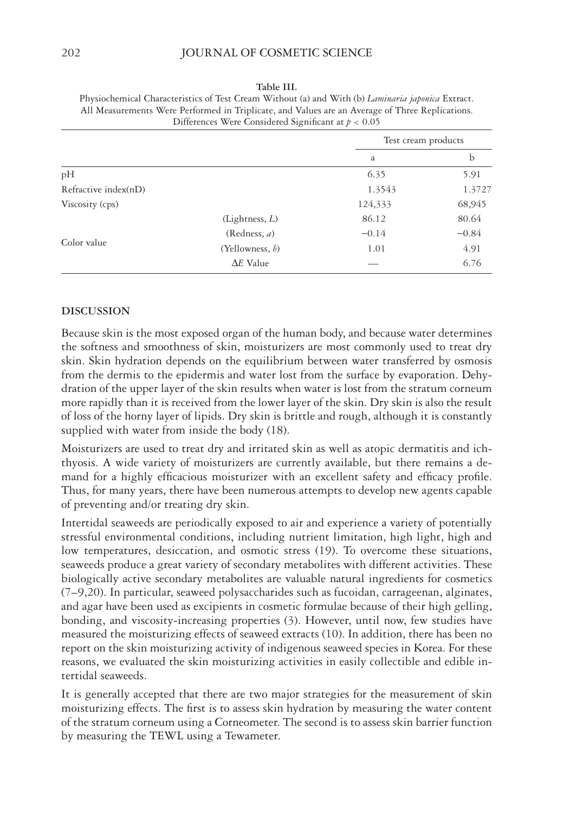|                      |                    | Test cream products |         |
|----------------------|--------------------|---------------------|---------|
|                      |                    | a                   | b       |
| pH                   |                    | 6.35                | 5.91    |
| Refractive index(nD) |                    | 1.3543              | 1.3727  |
| Viscosity (cps)      |                    | 124,333             | 68,945  |
| Color value          | (Lightness, L)     | 86.12               | 80.64   |
|                      | (Redness, $a$ )    | $-0.14$             | $-0.84$ |
|                      | (Yellowness, $b$ ) | 1.01                | 4.91    |
|                      | $\Delta E$ Value   |                     | 6.76    |

**Table III.** Physiochemical Characteristics of Test Cream Without (a) and With (b) *Laminaria japonica* Extract. All Measurements Were Performed in Triplicate, and Values are an Average of Three Replications. Differences Were Considered Significant at  $p < 0.05$ 

## **DISCUSSION**

Because skin is the most exposed organ of the human body, and because water determines the softness and smoothness of skin, moisturizers are most commonly used to treat dry skin. Skin hydration depends on the equilibrium between water transferred by osmosis from the dermis to the epidermis and water lost from the surface by evaporation. Dehydration of the upper layer of the skin results when water is lost from the stratum corneum more rapidly than it is received from the lower layer of the skin. Dry skin is also the result of loss of the horny layer of lipids. Dry skin is brittle and rough, although it is constantly supplied with water from inside the body (18).

Moisturizers are used to treat dry and irritated skin as well as atopic dermatitis and ichthyosis. A wide variety of moisturizers are currently available, but there remains a demand for a highly efficacious moisturizer with an excellent safety and efficacy profile. Thus, for many years, there have been numerous attempts to develop new agents capable of preventing and/or treating dry skin.

Intertidal seaweeds are periodically exposed to air and experience a variety of potentially stressful environmental conditions, including nutrient limitation, high light, high and low temperatures, desiccation, and osmotic stress (19). To overcome these situations, seaweeds produce a great variety of secondary metabolites with different activities. These biologically active secondary metabolites are valuable natural ingredients for cosmetics (7–9,20). In particular, seaweed polysaccharides such as fucoidan, carrageenan, alginates, and agar have been used as excipients in cosmetic formulae because of their high gelling, bonding, and viscosity-increasing properties (3). However, until now, few studies have measured the moisturizing effects of seaweed extracts (10). In addition, there has been no report on the skin moisturizing activity of indigenous seaweed species in Korea. For these reasons, we evaluated the skin moisturizing activities in easily collectible and edible intertidal seaweeds.

It is generally accepted that there are two major strategies for the measurement of skin moisturizing effects. The first is to assess skin hydration by measuring the water content of the stratum corneum using a Corneometer. The second is to assess skin barrier function by measuring the TEWL using a Tewameter.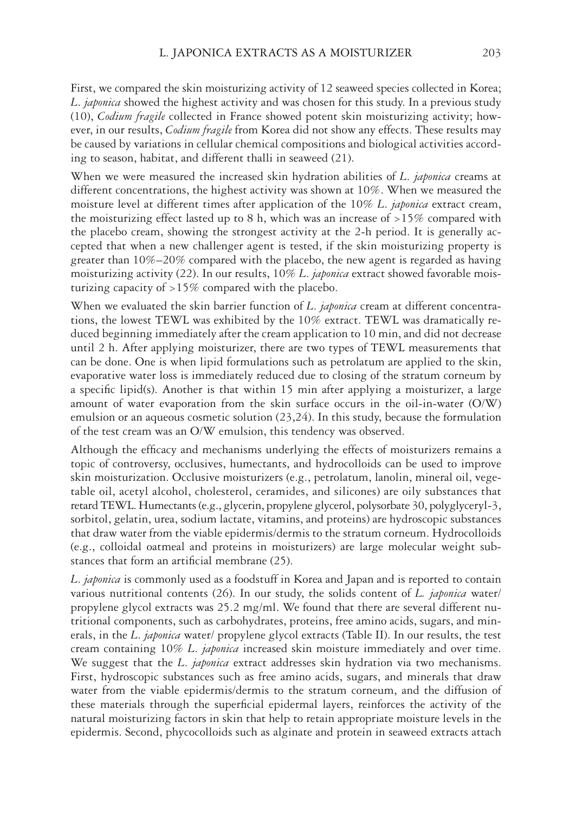First, we compared the skin moisturizing activity of 12 seaweed species collected in Korea; *L*. *japonica* showed the highest activity and was chosen for this study. In a previous study (10), *Codium fragile* collected in France showed potent skin moisturizing activity; however, in our results, *Codium fragile* from Korea did not show any effects. These results may be caused by variations in cellular chemical compositions and biological activities according to season, habitat, and different thalli in seaweed (21).

When we were measured the increased skin hydration abilities of *L*. *japonica* creams at different concentrations, the highest activity was shown at 10%. When we measured the moisture level at different times after application of the 10% *L*. *japonica* extract cream, the moisturizing effect lasted up to 8 h, which was an increase of >15% compared with the placebo cream, showing the strongest activity at the 2-h period. It is generally accepted that when a new challenger agent is tested, if the skin moisturizing property is greater than 10%–20% compared with the placebo, the new agent is regarded as having moisturizing activity (22). In our results, 10% *L*. *japonica* extract showed favorable moisturizing capacity of >15% compared with the placebo.

When we evaluated the skin barrier function of *L*. *japonica* cream at different concentrations, the lowest TEWL was exhibited by the 10% extract. TEWL was dramatically reduced beginning immediately after the cream application to 10 min, and did not decrease until 2 h. After applying moisturizer, there are two types of TEWL measurements that can be done. One is when lipid formulations such as petrolatum are applied to the skin, evaporative water loss is immediately reduced due to closing of the stratum corneum by a specific lipid(s). Another is that within 15 min after applying a moisturizer, a large amount of water evaporation from the skin surface occurs in the oil-in-water (O/W) emulsion or an aqueous cosmetic solution (23,24). In this study, because the formulation of the test cream was an O/W emulsion, this tendency was observed.

Although the efficacy and mechanisms underlying the effects of moisturizers remains a topic of controversy, occlusives, humectants, and hydrocolloids can be used to improve skin moisturization. Occlusive moisturizers (e.g., petrolatum, lanolin, mineral oil, vegetable oil, acetyl alcohol, cholesterol, ceramides, and silicones) are oily substances that retard TEWL. Humectants (e.g., glycerin, propylene glycerol, polysorbate 30, polyglyceryl-3, sorbitol, gelatin, urea, sodium lactate, vitamins, and proteins) are hydroscopic substances that draw water from the viable epidermis/dermis to the stratum corneum. Hydrocolloids (e.g., colloidal oatmeal and proteins in moisturizers) are large molecular weight substances that form an artificial membrane (25).

*L*. *japonica* is commonly used as a foodstuff in Korea and Japan and is reported to contain various nutritional contents (26). In our study, the solids content of *L. japonica* water/ propylene glycol extracts was 25.2 mg/ml. We found that there are several different nutritional components, such as carbohydrates, proteins, free amino acids, sugars, and minerals, in the *L*. *japonica* water/ propylene glycol extracts (Table II). In our results, the test cream containing 10% *L*. *japonica* increased skin moisture immediately and over time. We suggest that the *L*. *japonica* extract addresses skin hydration via two mechanisms. First, hydroscopic substances such as free amino acids, sugars, and minerals that draw water from the viable epidermis/dermis to the stratum corneum, and the diffusion of these materials through the superficial epidermal layers, reinforces the activity of the natural moisturizing factors in skin that help to retain appropriate moisture levels in the epidermis. Second, phycocolloids such as alginate and protein in seaweed extracts attach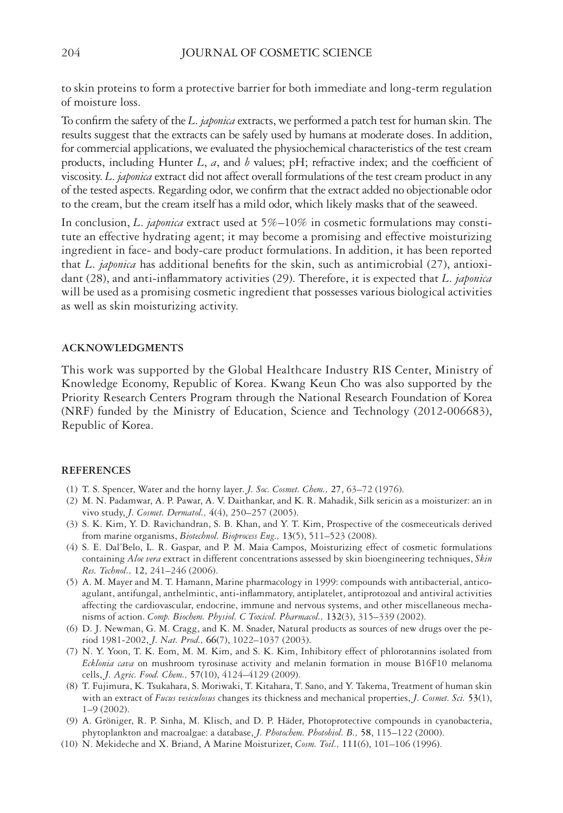to skin proteins to form a protective barrier for both immediate and long-term regulation of moisture loss.

To confirm the safety of the *L. japonica* extracts, we performed a patch test for human skin. The results suggest that the extracts can be safely used by humans at moderate doses. In addition, for commercial applications, we evaluated the physiochemical characteristics of the test cream products, including Hunter *L*, *a*, and *b* values; pH; refractive index; and the coefficient of viscosity. *L*. *japonica* extract did not affect overall formulations of the test cream product in any of the tested aspects. Regarding odor, we confirm that the extract added no objectionable odor to the cream, but the cream itself has a mild odor, which likely masks that of the seaweed.

In conclusion, *L*. *japonica* extract used at 5%–10% in cosmetic formulations may constitute an effective hydrating agent; it may become a promising and effective moisturizing ingredient in face- and body-care product formulations. In addition, it has been reported that *L. japonica* has additional benefits for the skin, such as antimicrobial (27), antioxidant (28), and anti-inflammatory activities (29). Therefore, it is expected that *L. japonica* will be used as a promising cosmetic ingredient that possesses various biological activities as well as skin moisturizing activity.

## **ACKNOWLEDGMENTS**

This work was supported by the Global Healthcare Industry RIS Center, Ministry of Knowledge Economy, Republic of Korea. Kwang Keun Cho was also supported by the Priority Research Centers Program through the National Research Foundation of Korea (NRF) funded by the Ministry of Education, Science and Technology (2012-006683), Republic of Korea.

#### **REFERENCES**

- (1) T. S. Spencer, Water and the horny layer. *J. Soc. Cosmet. Chem.,* **27**, 63–72 (1976).
- (2) M. N. Padamwar, A. P. Pawar, A. V. Daithankar, and K. R. Mahadik, Silk sericin as a moisturizer: an in vivo study, *J. Cosmet. Dermatol.,* **4**(4), 250–257 (2005).
- (3) S. K. Kim, Y. D. Ravichandran, S. B. Khan, and Y. T. Kim, Prospective of the cosmeceuticals derived from marine organisms, *Biotechnol. Bioprocess Eng.,* **13**(5), 511–523 (2008).
- (4) S. E. Dal'Belo, L. R. Gaspar, and P. M. Maia Campos, Moisturizing effect of cosmetic formulations containing *Aloe vera* extract in different concentrations assessed by skin bioengineering techniques, *Skin Res. Technol.,* **12**, 241–246 (2006).
- (5) A. M. Mayer and M. T. Hamann, Marine pharmacology in 1999: compounds with antibacterial, anticoagulant, antifungal, anthelmintic, anti-inflammatory, antiplatelet, antiprotozoal and antiviral activities affecting the cardiovascular, endocrine, immune and nervous systems, and other miscellaneous mechanisms of action. *Comp. Biochem. Physiol. C Toxicol. Pharmacol.,* **132**(3), 315–339 (2002).
- (6) D. J. Newman, G. M. Cragg, and K. M. Snader, Natural products as sources of new drugs over the period 1981-2002, *J. Nat. Prod.,* **66**(7), 1022–1037 (2003).
- (7) N. Y. Yoon, T. K. Eom, M. M. Kim, and S. K. Kim, Inhibitory effect of phlorotannins isolated from *Ecklonia cava* on mushroom tyrosinase activity and melanin formation in mouse B16F10 melanoma cells, *J. Agric. Food. Chem.,* **57**(10), 4124–4129 (2009).
- (8) T. Fujimura, K. Tsukahara, S. Moriwaki, T. Kitahara, T. Sano, and Y. Takema, Treatment of human skin with an extract of *Fucus vesiculosus* changes its thickness and mechanical properties, *J. Cosmet. Sci.* **53**(1), 1–9 (2002).
- (9) A. Gröniger, R. P. Sinha, M. Klisch, and D. P. Häder, Photoprotective compounds in cyanobacteria, phytoplankton and macroalgae: a database, *J. Photochem. Photobiol. B.,* **58**, 115–122 (2000).
- (10) N. Mekideche and X. Briand, A Marine Moisturizer, *Cosm. Toil.,* **111**(6), 101–106 (1996).